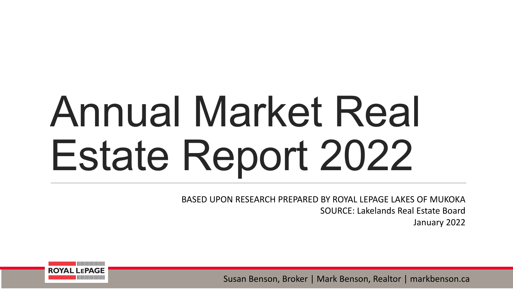# Annual Market Real Estate Report 2022

BASED UPON RESEARCH PREPARED BY ROYAL LEPAGE LAKES OF MUKOKA SOURCE: Lakelands Real Estate Board

January 2022



Susan Benson, Broker | Mark Benson, Realtor | markbenson.ca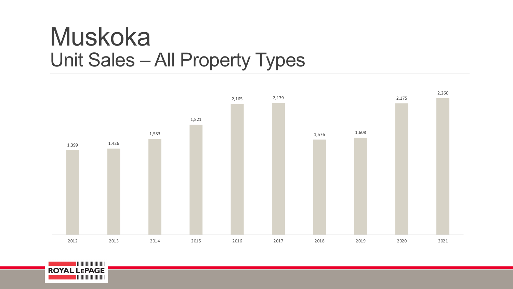## Muskoka Unit Sales – All Property Types



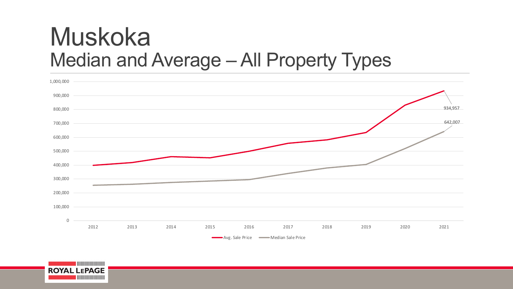## Muskoka Median and Average – All Property Types



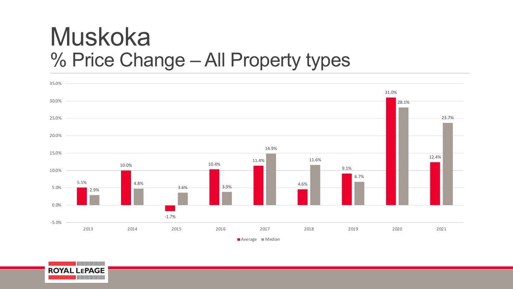## Muskoka % Price Change – All Property types



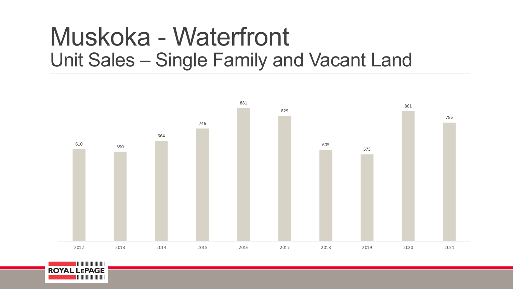## Muskoka - Waterfront Unit Sales – Single Family and Vacant Land



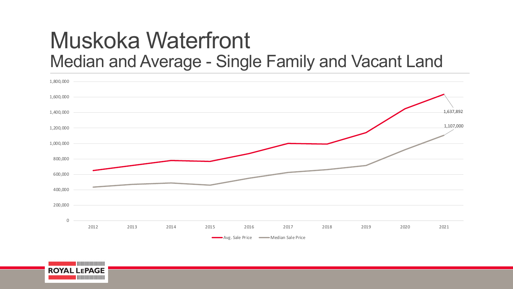#### Muskoka Waterfront Median and Average - Single Family and Vacant Land



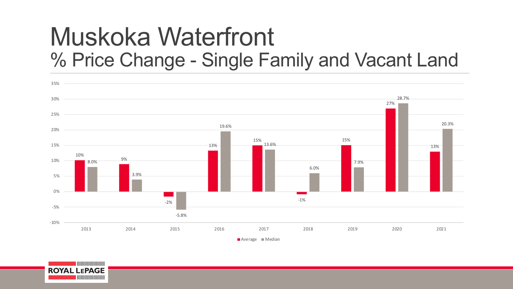## Muskoka Waterfront % Price Change - Single Family and Vacant Land



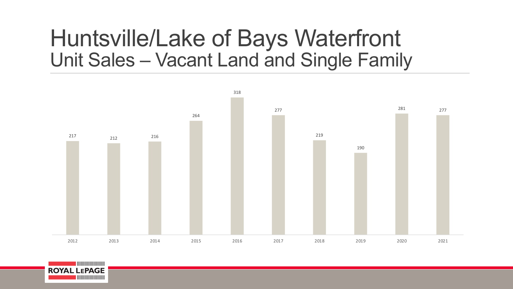#### Huntsville/Lake of Bays Waterfront Unit Sales – Vacant Land and Single Family



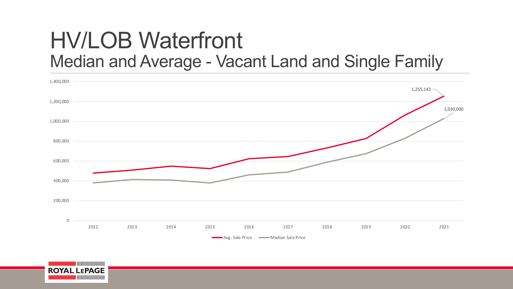#### HV/LOB Waterfront Median and Average - Vacant Land and Single Family



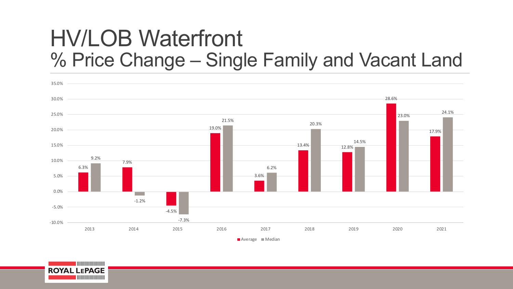#### HV/LOB Waterfront % Price Change – Single Family and Vacant Land



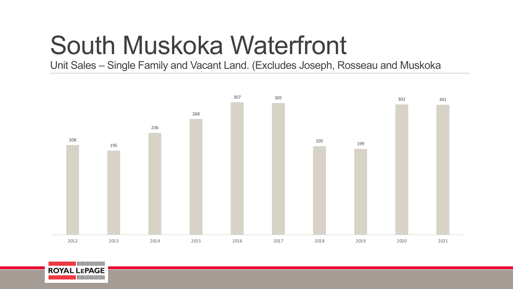# South Muskoka Waterfront

Unit Sales – Single Family and Vacant Land. (Excludes Joseph, Rosseau and Muskoka



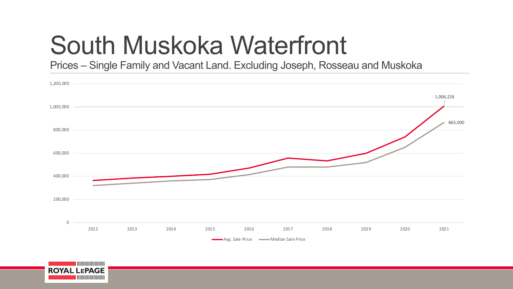# South Muskoka Waterfront

Prices – Single Family and Vacant Land. Excluding Joseph, Rosseau and Muskoka



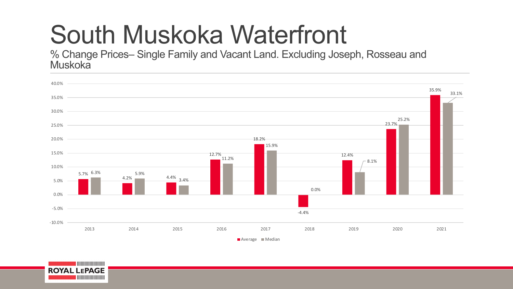# South Muskoka Waterfront

% Change Prices– Single Family and Vacant Land. Excluding Joseph, Rosseau and Muskoka



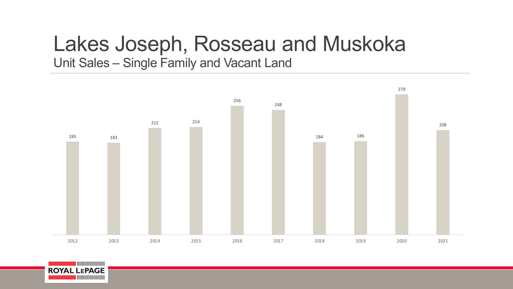## Lakes Joseph, Rosseau and Muskoka

Unit Sales – Single Family and Vacant Land



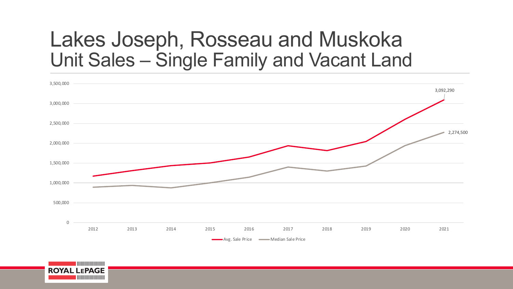#### Lakes Joseph, Rosseau and Muskoka Unit Sales – Single Family and Vacant Land



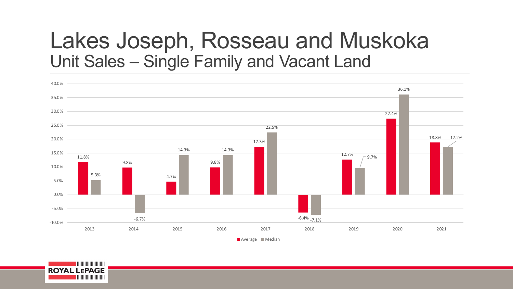#### Lakes Joseph, Rosseau and Muskoka Unit Sales – Single Family and Vacant Land



**ROYAL LEPAGE**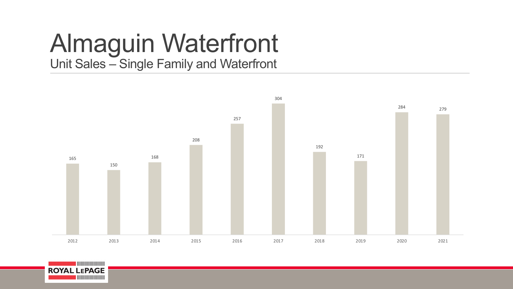#### Almaguin Waterfront Unit Sales – Single Family and Waterfront



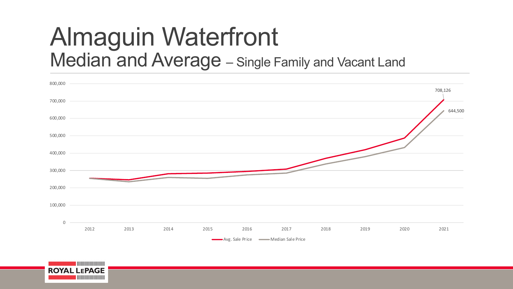## Almaguin Waterfront Median and Average – Single Family and Vacant Land



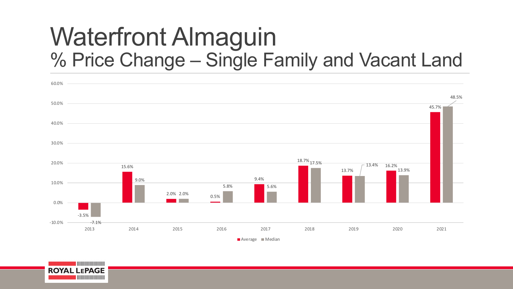## Waterfront Almaguin % Price Change – Single Family and Vacant Land



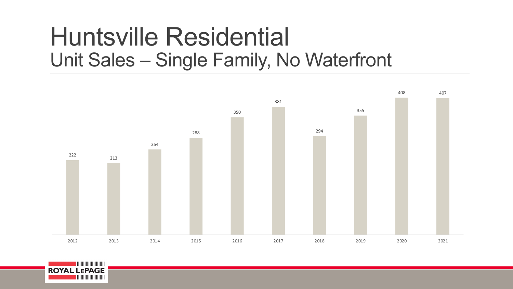## Huntsville Residential Unit Sales – Single Family, No Waterfront



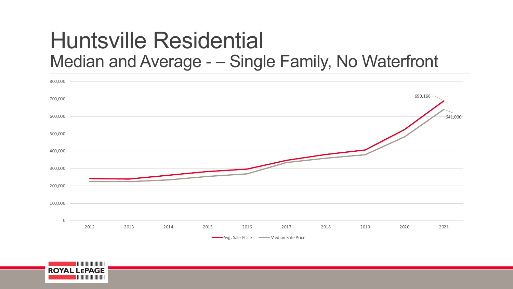#### Huntsville Residential Median and Average - – Single Family, No Waterfront



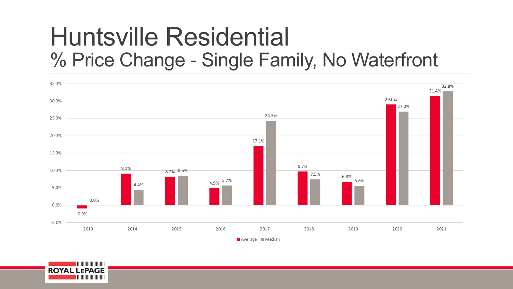## Huntsville Residential % Price Change - Single Family, No Waterfront



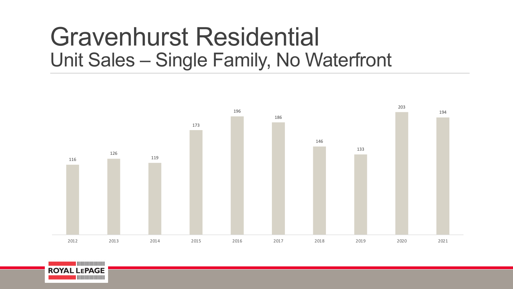## Gravenhurst Residential Unit Sales – Single Family, No Waterfront



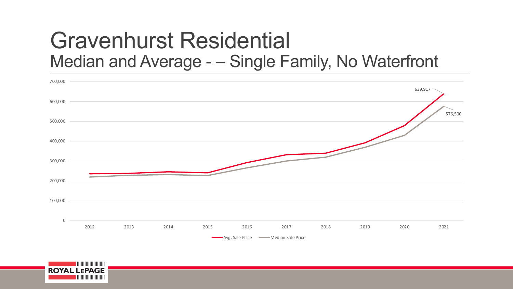#### Gravenhurst Residential Median and Average - – Single Family, No Waterfront



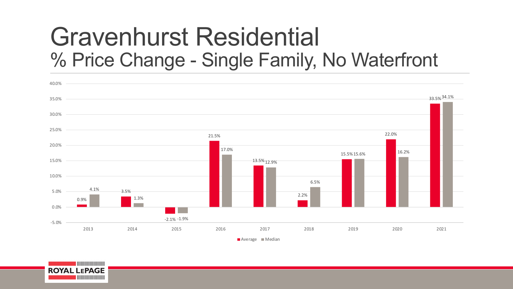## Gravenhurst Residential % Price Change - Single Family, No Waterfront



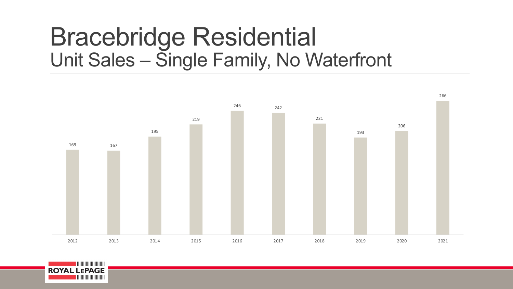## Bracebridge Residential Unit Sales – Single Family, No Waterfront



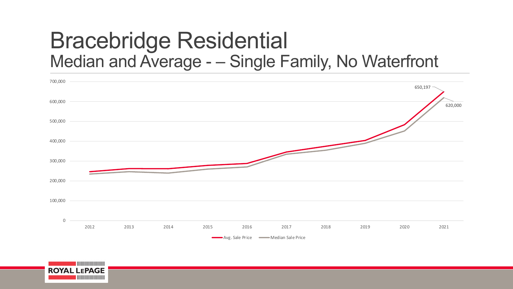#### Bracebridge Residential Median and Average - – Single Family, No Waterfront



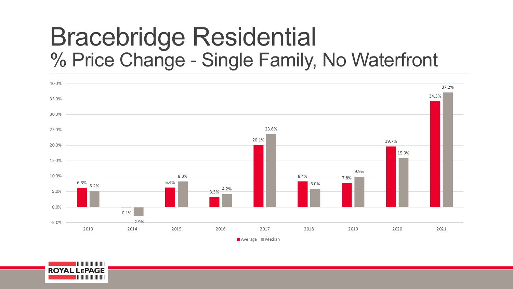## Bracebridge Residential % Price Change - Single Family, No Waterfront



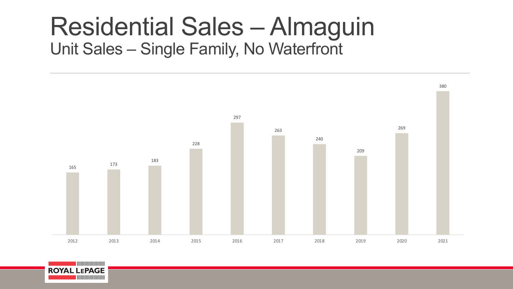#### Residential Sales – Almaguin Unit Sales – Single Family, No Waterfront



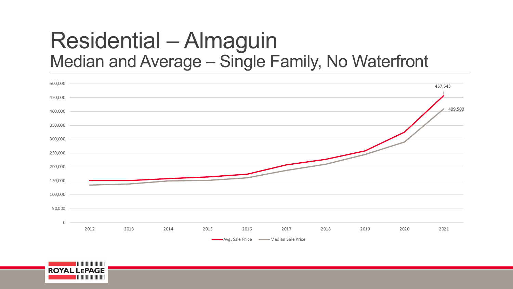#### Residential – Almaguin Median and Average – Single Family, No Waterfront



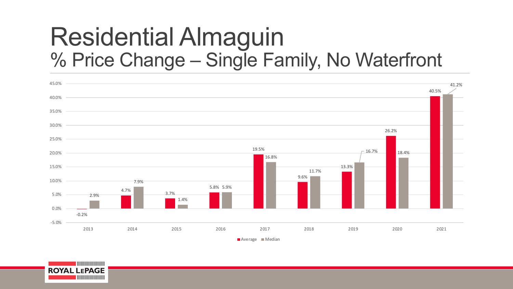## Residential Almaguin % Price Change – Single Family, No Waterfront



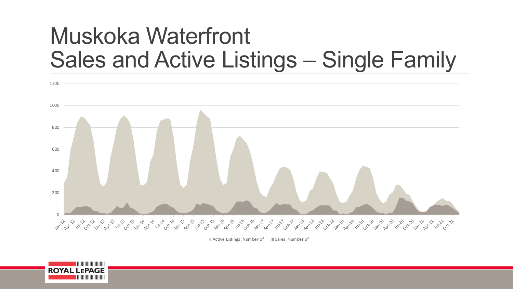## Muskoka Waterfront Sales and Active Listings – Single Family



 $\blacksquare$  Active Listings, Number of  $\blacksquare$  Sales, Number of

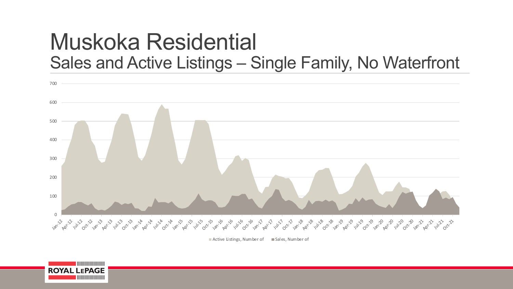#### Muskoka Residential Sales and Active Listings – Single Family, No Waterfront



 $\blacksquare$  Active Listings, Number of  $\blacksquare$  Sales, Number of

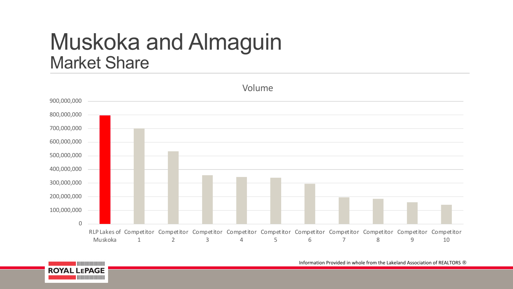#### Muskoka and Almaguin Market Share



<u> | ||||||||||||||||||||||</u> **ROYAL LEPAGE** 

Information Provided in whole from the Lakeland Association of REALTORS ®